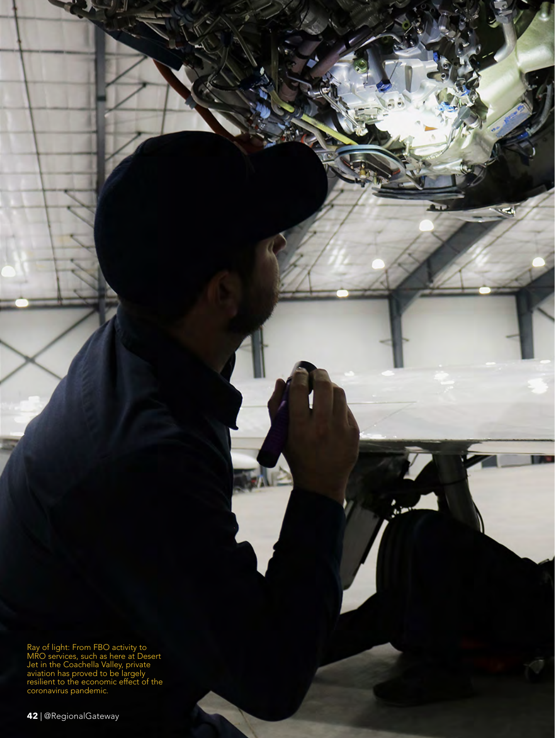Ray of light: From FBO activity to MRO services, such as here at Desert Jet in the Coachella Valley, private aviation has proved to be largely resilient to the economic effect of the coronavirus pandemic.

 $\overline{\phantom{a}}$ 

 $\sim$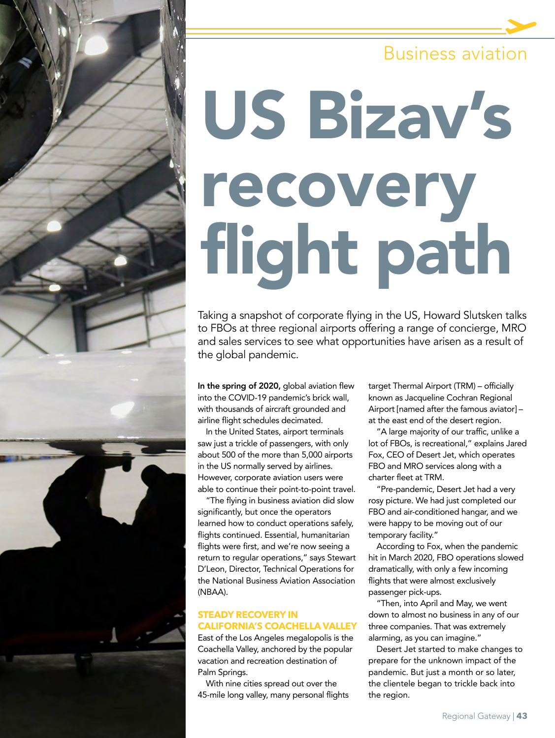## Business aviation

# US Bizav's recovery flight path

Taking a snapshot of corporate flying in the US, Howard Slutsken talks to FBOs at three regional airports offering a range of concierge, MRO and sales services to see what opportunities have arisen as a result of the global pandemic.

In the spring of 2020, global aviation flew into the COVID-19 pandemic's brick wall, with thousands of aircraft grounded and airline flight schedules decimated.

In the United States, airport terminals saw just a trickle of passengers, with only about 500 of the more than 5,000 airports in the US normally served by airlines. However, corporate aviation users were able to continue their point-to-point travel.

"The flying in business aviation did slow significantly, but once the operators learned how to conduct operations safely, flights continued. Essential, humanitarian flights were first, and we're now seeing a return to regular operations," says Stewart D'Leon, Director, Technical Operations for the National Business Aviation Association (NBAA).

#### **STEADY RECOVERY IN CALIFORNIA'S COACHELLA VALLEY**

East of the Los Angeles megalopolis is the Coachella Valley, anchored by the popular vacation and recreation destination of Palm Springs.

With nine cities spread out over the 45-mile long valley, many personal flights target Thermal Airport (TRM) – officially known as Jacqueline Cochran Regional Airport [named after the famous aviator] – at the east end of the desert region.

"A large majority of our traffic, unlike a lot of FBOs, is recreational," explains Jared Fox, CEO of Desert Jet, which operates FBO and MRO services along with a charter fleet at TRM.

"Pre-pandemic, Desert Jet had a very rosy picture. We had just completed our FBO and air-conditioned hangar, and we were happy to be moving out of our temporary facility."

According to Fox, when the pandemic hit in March 2020, FBO operations slowed dramatically, with only a few incoming flights that were almost exclusively passenger pick-ups.

"Then, into April and May, we went down to almost no business in any of our three companies. That was extremely alarming, as you can imagine."

Desert Jet started to make changes to prepare for the unknown impact of the pandemic. But just a month or so later, the clientele began to trickle back into the region.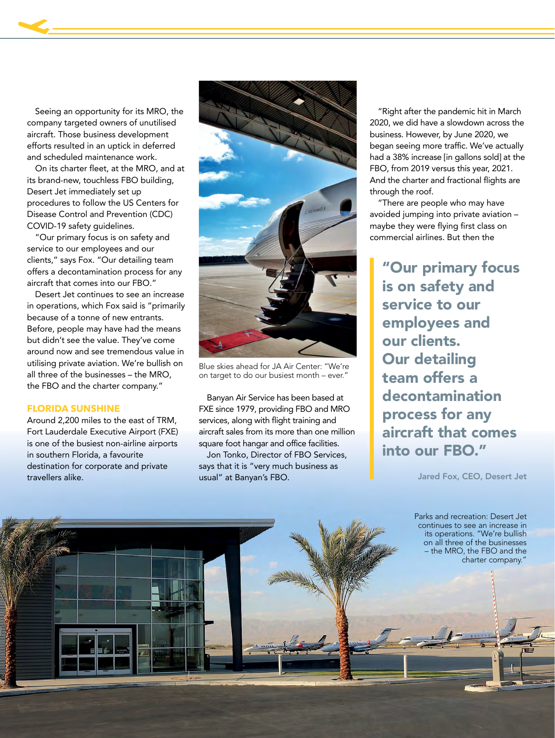Seeing an opportunity for its MRO, the company targeted owners of unutilised aircraft. Those business development efforts resulted in an uptick in deferred and scheduled maintenance work.

On its charter fleet, at the MRO, and at its brand-new, touchless FBO building, Desert Jet immediately set up procedures to follow the US Centers for Disease Control and Prevention (CDC) COVID-19 safety guidelines.

"Our primary focus is on safety and service to our employees and our clients," says Fox. "Our detailing team offers a decontamination process for any aircraft that comes into our FBO."

Desert Jet continues to see an increase in operations, which Fox said is "primarily because of a tonne of new entrants. Before, people may have had the means but didn't see the value. They've come around now and see tremendous value in utilising private aviation. We're bullish on all three of the businesses – the MRO, the FBO and the charter company."

#### **FLORIDA SUNSHINE**

Around 2,200 miles to the east of TRM, Fort Lauderdale Executive Airport (FXE) is one of the busiest non-airline airports in southern Florida, a favourite destination for corporate and private travellers alike.



Blue skies ahead for JA Air Center: "We're on target to do our busiest month – ever."

Banyan Air Service has been based at FXE since 1979, providing FBO and MRO services, along with flight training and aircraft sales from its more than one million square foot hangar and office facilities.

Jon Tonko, Director of FBO Services, says that it is "very much business as usual" at Banyan's FBO.

"Right after the pandemic hit in March 2020, we did have a slowdown across the business. However, by June 2020, we began seeing more traffic. We've actually had a 38% increase [in gallons sold] at the FBO, from 2019 versus this year, 2021. And the charter and fractional flights are through the roof.

"There are people who may have avoided jumping into private aviation – maybe they were flying first class on commercial airlines. But then the

"Our primary focus is on safety and service to our employees and our clients. Our detailing team offers a decontamination process for any aircraft that comes into our FBO."

Jared Fox, CEO, Desert Jet

Parks and recreation: Desert Jet continues to see an increase in its operations. "We're bullish on all three of the businesses – the MRO, the FBO and the charter company.